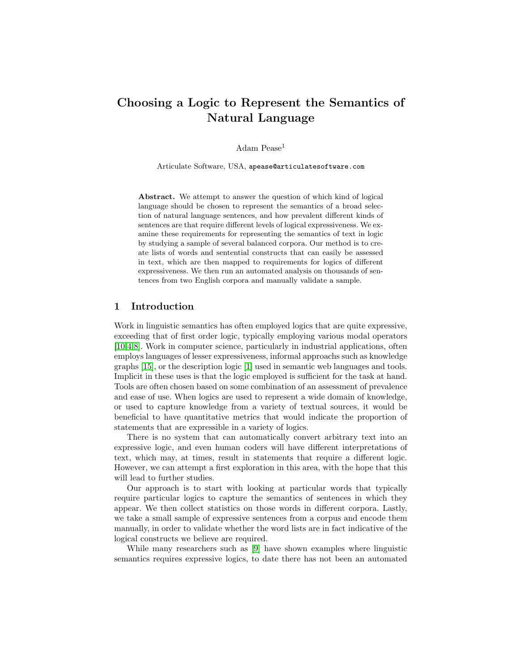# Choosing a Logic to Represent the Semantics of Natural Language

Adam Pease<sup>1</sup>

Articulate Software, USA, apease@articulatesoftware.com

Abstract. We attempt to answer the question of which kind of logical language should be chosen to represent the semantics of a broad selection of natural language sentences, and how prevalent different kinds of sentences are that require different levels of logical expressiveness. We examine these requirements for representing the semantics of text in logic by studying a sample of several balanced corpora. Our method is to create lists of words and sentential constructs that can easily be assessed in text, which are then mapped to requirements for logics of different expressiveness. We then run an automated analysis on thousands of sentences from two English corpora and manually validate a sample.

#### 1 Introduction

Work in linguistic semantics has often employed logics that are quite expressive, exceeding that of first order logic, typically employing various modal operators [\[10](#page-8-0)[,4](#page-7-0)[,8\]](#page-7-1). Work in computer science, particularly in industrial applications, often employs languages of lesser expressiveness, informal approachs such as knowledge graphs [\[15\]](#page-8-1), or the description logic [\[1\]](#page-7-2) used in semantic web languages and tools. Implicit in these uses is that the logic employed is sufficient for the task at hand. Tools are often chosen based on some combination of an assessment of prevalence and ease of use. When logics are used to represent a wide domain of knowledge, or used to capture knowledge from a variety of textual sources, it would be beneficial to have quantitative metrics that would indicate the proportion of statements that are expressible in a variety of logics.

There is no system that can automatically convert arbitrary text into an expressive logic, and even human coders will have different interpretations of text, which may, at times, result in statements that require a different logic. However, we can attempt a first exploration in this area, with the hope that this will lead to further studies.

Our approach is to start with looking at particular words that typically require particular logics to capture the semantics of sentences in which they appear. We then collect statistics on those words in different corpora. Lastly, we take a small sample of expressive sentences from a corpus and encode them manually, in order to validate whether the word lists are in fact indicative of the logical constructs we believe are required.

While many researchers such as [\[9\]](#page-8-2) have shown examples where linguistic semantics requires expressive logics, to date there has not been an automated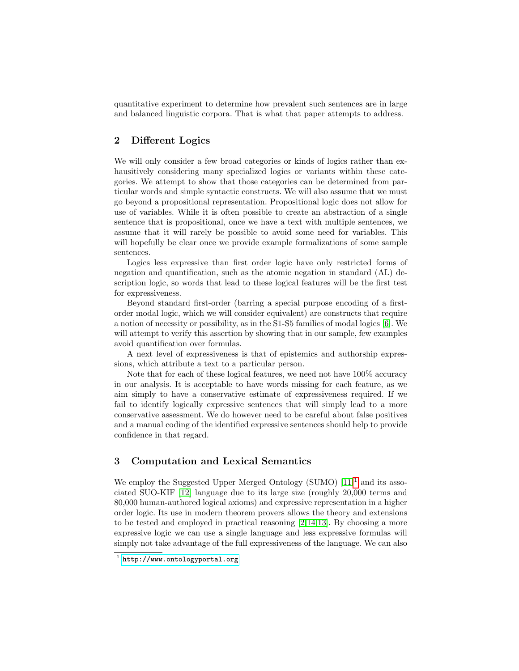quantitative experiment to determine how prevalent such sentences are in large and balanced linguistic corpora. That is what that paper attempts to address.

# 2 Different Logics

We will only consider a few broad categories or kinds of logics rather than exhausitively considering many specialized logics or variants within these categories. We attempt to show that those categories can be determined from particular words and simple syntactic constructs. We will also assume that we must go beyond a propositional representation. Propositional logic does not allow for use of variables. While it is often possible to create an abstraction of a single sentence that is propositional, once we have a text with multiple sentences, we assume that it will rarely be possible to avoid some need for variables. This will hopefully be clear once we provide example formalizations of some sample sentences.

Logics less expressive than first order logic have only restricted forms of negation and quantification, such as the atomic negation in standard (AL) description logic, so words that lead to these logical features will be the first test for expressiveness.

Beyond standard first-order (barring a special purpose encoding of a firstorder modal logic, which we will consider equivalent) are constructs that require a notion of necessity or possibility, as in the S1-S5 families of modal logics [\[6\]](#page-7-3). We will attempt to verify this assertion by showing that in our sample, few examples avoid quantification over formulas.

A next level of expressiveness is that of epistemics and authorship expressions, which attribute a text to a particular person.

Note that for each of these logical features, we need not have 100% accuracy in our analysis. It is acceptable to have words missing for each feature, as we aim simply to have a conservative estimate of expressiveness required. If we fail to identify logically expressive sentences that will simply lead to a more conservative assessment. We do however need to be careful about false positives and a manual coding of the identified expressive sentences should help to provide confidence in that regard.

### 3 Computation and Lexical Semantics

We employ the Suggested Upper Merged Ontology (SUMO)  $[11]$ <sup>[1](#page-1-0)</sup> and its associated SUO-KIF [\[12\]](#page-8-4) language due to its large size (roughly 20,000 terms and 80,000 human-authored logical axioms) and expressive representation in a higher order logic. Its use in modern theorem provers allows the theory and extensions to be tested and employed in practical reasoning [\[2](#page-7-4)[,14,](#page-8-5)[13\]](#page-8-6). By choosing a more expressive logic we can use a single language and less expressive formulas will simply not take advantage of the full expressiveness of the language. We can also

<span id="page-1-0"></span><sup>1</sup> <http://www.ontologyportal.org>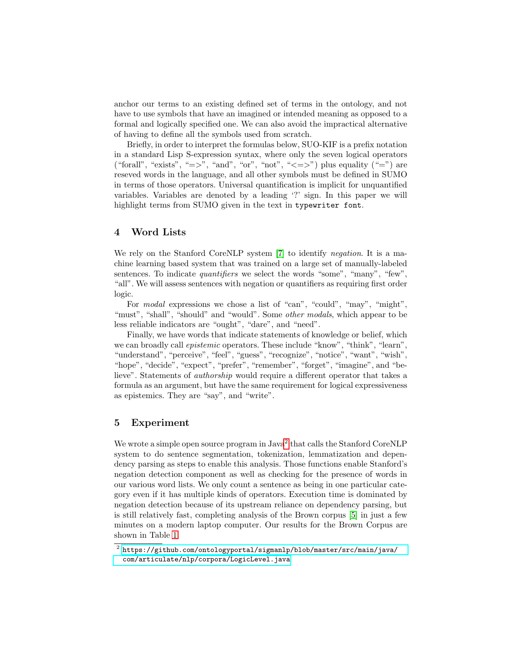anchor our terms to an existing defined set of terms in the ontology, and not have to use symbols that have an imagined or intended meaning as opposed to a formal and logically specified one. We can also avoid the impractical alternative of having to define all the symbols used from scratch.

Briefly, in order to interpret the formulas below, SUO-KIF is a prefix notation in a standard Lisp S-expression syntax, where only the seven logical operators ("forall", "exists", "=>", "and", "or", "not", "<=>") plus equality ("=") are reseved words in the language, and all other symbols must be defined in SUMO in terms of those operators. Universal quantification is implicit for unquantified variables. Variables are denoted by a leading '?' sign. In this paper we will highlight terms from SUMO given in the text in typewriter font.

## 4 Word Lists

We rely on the Stanford CoreNLP system [\[7\]](#page-7-5) to identify *negation*. It is a machine learning based system that was trained on a large set of manually-labeled sentences. To indicate *quantifiers* we select the words "some", "many", "few", "all". We will assess sentences with negation or quantifiers as requiring first order logic.

For *modal* expressions we chose a list of "can", "could", "may", "might", "must", "shall", "should" and "would". Some *other modals*, which appear to be less reliable indicators are "ought", "dare", and "need".

Finally, we have words that indicate statements of knowledge or belief, which we can broadly call *epistemic* operators. These include "know", "think", "learn", "understand", "perceive", "feel", "guess", "recognize", "notice", "want", "wish", "hope", "decide", "expect", "prefer", "remember", "forget", "imagine", and "believe". Statements of authorship would require a different operator that takes a formula as an argument, but have the same requirement for logical expressiveness as epistemics. They are "say", and "write".

#### <span id="page-2-1"></span>5 Experiment

We wrote a simple open source program in Java<sup>[2](#page-2-0)</sup> that calls the Stanford CoreNLP system to do sentence segmentation, tokenization, lemmatization and dependency parsing as steps to enable this analysis. Those functions enable Stanford's negation detection component as well as checking for the presence of words in our various word lists. We only count a sentence as being in one particular category even if it has multiple kinds of operators. Execution time is dominated by negation detection because of its upstream reliance on dependency parsing, but is still relatively fast, completing analysis of the Brown corpus [\[5\]](#page-7-6) in just a few minutes on a modern laptop computer. Our results for the Brown Corpus are shown in Table [1.](#page-3-0)

<span id="page-2-0"></span> $^2$  [https://github.com/ontologyportal/sigmanlp/blob/master/src/main/java/](https://github.com/ontologyportal/sigmanlp/blob/master/src/main/java/com/articulate/nlp/corpora/LogicLevel.java) [com/articulate/nlp/corpora/LogicLevel.java](https://github.com/ontologyportal/sigmanlp/blob/master/src/main/java/com/articulate/nlp/corpora/LogicLevel.java)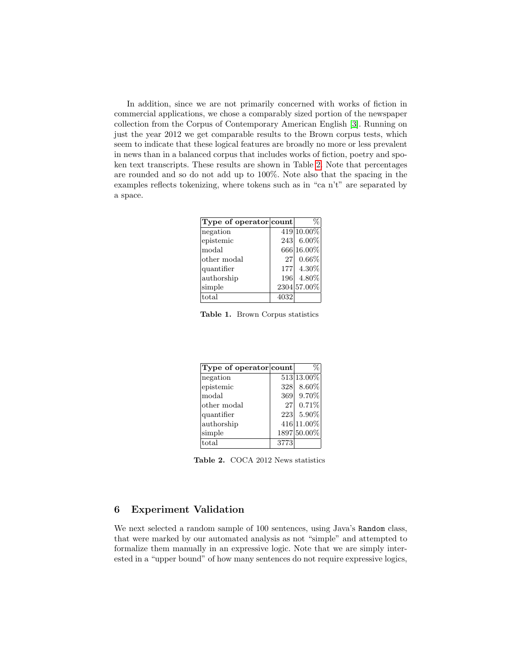In addition, since we are not primarily concerned with works of fiction in commercial applications, we chose a comparably sized portion of the newspaper collection from the Corpus of Contemporary American English [\[3\]](#page-7-7). Running on just the year 2012 we get comparable results to the Brown corpus tests, which seem to indicate that these logical features are broadly no more or less prevalent in news than in a balanced corpus that includes works of fiction, poetry and spoken text transcripts. These results are shown in Table [2.](#page-3-1) Note that percentages are rounded and so do not add up to 100%. Note also that the spacing in the examples reflects tokenizing, where tokens such as in "ca n't" are separated by a space.

| Type of operator count |      |             |
|------------------------|------|-------------|
| negation               |      | 419 10.00%  |
| epistemic              | 243  | $6.00\%$    |
| modal                  |      | 666 16.00%  |
| other modal            | 27   | $0.66\%$    |
| quantifier             |      | 177 4.30%   |
| authorship             | 196  | 4.80%       |
| simple                 |      | 2304 57.00% |
| total                  | 4032 |             |

<span id="page-3-0"></span>Table 1. Brown Corpus statistics

| Type of operator count |      |             |
|------------------------|------|-------------|
| negation               |      | 513 13.00%  |
| epistemic              | 328  | 8.60%       |
| modal                  | 369  | 9.70%       |
| other modal            | 27   | 0.71%       |
| quantifier             | 223  | 5.90%       |
| authorship             |      | 416 11.00%  |
| simple                 |      | 1897 50.00% |
| total                  | 3773 |             |

<span id="page-3-1"></span>Table 2. COCA 2012 News statistics

#### 6 Experiment Validation

We next selected a random sample of 100 sentences, using Java's Random class, that were marked by our automated analysis as not "simple" and attempted to formalize them manually in an expressive logic. Note that we are simply interested in a "upper bound" of how many sentences do not require expressive logics,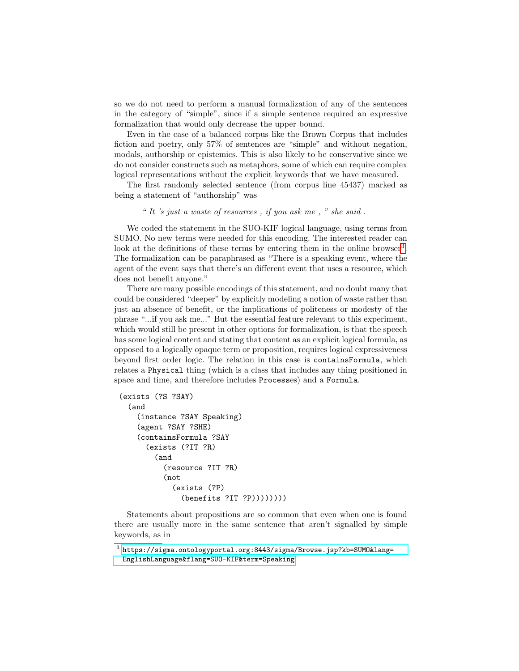so we do not need to perform a manual formalization of any of the sentences in the category of "simple", since if a simple sentence required an expressive formalization that would only decrease the upper bound.

Even in the case of a balanced corpus like the Brown Corpus that includes fiction and poetry, only 57% of sentences are "simple" and without negation, modals, authorship or epistemics. This is also likely to be conservative since we do not consider constructs such as metaphors, some of which can require complex logical representations without the explicit keywords that we have measured.

The first randomly selected sentence (from corpus line 45437) marked as being a statement of "authorship" was

" It 's just a waste of resources, if you ask me, " she said.

We coded the statement in the SUO-KIF logical language, using terms from SUMO. No new terms were needed for this encoding. The interested reader can look at the definitions of these terms by entering them in the online browser<sup>[3](#page-4-0)</sup>. The formalization can be paraphrased as "There is a speaking event, where the agent of the event says that there's an different event that uses a resource, which does not benefit anyone."

There are many possible encodings of this statement, and no doubt many that could be considered "deeper" by explicitly modeling a notion of waste rather than just an absence of benefit, or the implications of politeness or modesty of the phrase "...if you ask me..." But the essential feature relevant to this experiment, which would still be present in other options for formalization, is that the speech has some logical content and stating that content as an explicit logical formula, as opposed to a logically opaque term or proposition, requires logical expressiveness beyond first order logic. The relation in this case is containsFormula, which relates a Physical thing (which is a class that includes any thing positioned in space and time, and therefore includes Processes) and a Formula.

```
(exists (?S ?SAY)
(and
   (instance ?SAY Speaking)
   (agent ?SAY ?SHE)
   (containsFormula ?SAY
     (exists (?IT ?R)
       (and
         (resource ?IT ?R)
         (not
           (exists (?P)
             (benefits ?IT ?P))))))))
```
Statements about propositions are so common that even when one is found there are usually more in the same sentence that aren't signalled by simple keywords, as in

<span id="page-4-0"></span> $^3$  [https://sigma.ontologyportal.org:8443/sigma/Browse.jsp?kb=SUMO&lang=](https://sigma.ontologyportal.org:8443/sigma/Browse.jsp?kb=SUMO&lang=EnglishLanguage&flang=SUO-KIF&term=Speaking) [EnglishLanguage&flang=SUO-KIF&term=Speaking](https://sigma.ontologyportal.org:8443/sigma/Browse.jsp?kb=SUMO&lang=EnglishLanguage&flang=SUO-KIF&term=Speaking)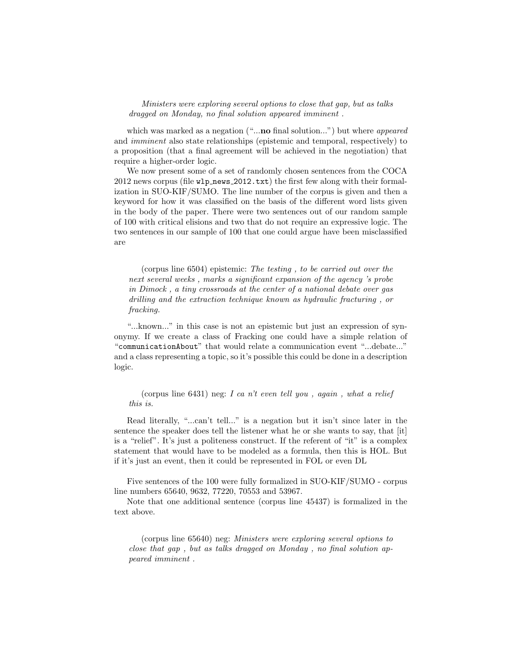Ministers were exploring several options to close that gap, but as talks dragged on Monday, no final solution appeared imminent .

which was marked as a negation ("...no final solution...") but where *appeared* and imminent also state relationships (epistemic and temporal, respectively) to a proposition (that a final agreement will be achieved in the negotiation) that require a higher-order logic.

We now present some of a set of randomly chosen sentences from the COCA 2012 news corpus (file wlp news 2012.txt) the first few along with their formalization in SUO-KIF/SUMO. The line number of the corpus is given and then a keyword for how it was classified on the basis of the different word lists given in the body of the paper. There were two sentences out of our random sample of 100 with critical elisions and two that do not require an expressive logic. The two sentences in our sample of 100 that one could argue have been misclassified are

(corpus line 6504) epistemic: The testing , to be carried out over the next several weeks , marks a significant expansion of the agency 's probe in Dimock , a tiny crossroads at the center of a national debate over gas drilling and the extraction technique known as hydraulic fracturing , or fracking.

"...known..." in this case is not an epistemic but just an expression of synonymy. If we create a class of Fracking one could have a simple relation of "communicationAbout" that would relate a communication event "...debate..." and a class representing a topic, so it's possible this could be done in a description logic.

(corpus line 6431) neg: I ca n't even tell you, again, what a relief this is.

Read literally, "...can't tell..." is a negation but it isn't since later in the sentence the speaker does tell the listener what he or she wants to say, that [it] is a "relief". It's just a politeness construct. If the referent of "it" is a complex statement that would have to be modeled as a formula, then this is HOL. But if it's just an event, then it could be represented in FOL or even DL

Five sentences of the 100 were fully formalized in SUO-KIF/SUMO - corpus line numbers 65640, 9632, 77220, 70553 and 53967.

Note that one additional sentence (corpus line 45437) is formalized in the text above.

(corpus line 65640) neg: Ministers were exploring several options to close that gap , but as talks dragged on Monday , no final solution appeared imminent .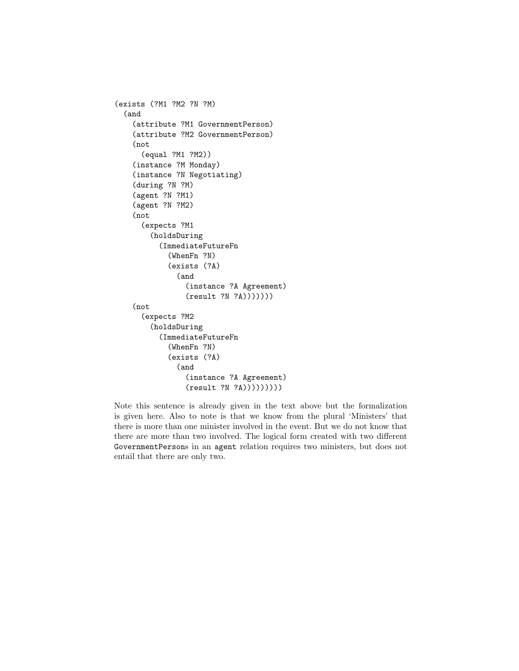```
(exists (?M1 ?M2 ?N ?M)
(and
   (attribute ?M1 GovernmentPerson)
   (attribute ?M2 GovernmentPerson)
   (not
     (equal ?M1 ?M2))
   (instance ?M Monday)
   (instance ?N Negotiating)
   (during ?N ?M)
   (agent ?N ?M1)
   (agent ?N ?M2)
   (not
     (expects ?M1
       (holdsDuring
         (ImmediateFutureFn
           (WhenFn ?N)
           (exists (?A)
             (and
               (instance ?A Agreement)
               (result ?N ?A)))))))
   (not
     (expects ?M2
       (holdsDuring
         (ImmediateFutureFn
           (WhenFn ?N)
           (exists (?A)
             (and
               (instance ?A Agreement)
               (result ?N ?A)))))))))
```
Note this sentence is already given in the text above but the formalization is given here. Also to note is that we know from the plural 'Ministers' that there is more than one minister involved in the event. But we do not know that there are more than two involved. The logical form created with two different GovernmentPersons in an agent relation requires two ministers, but does not entail that there are only two.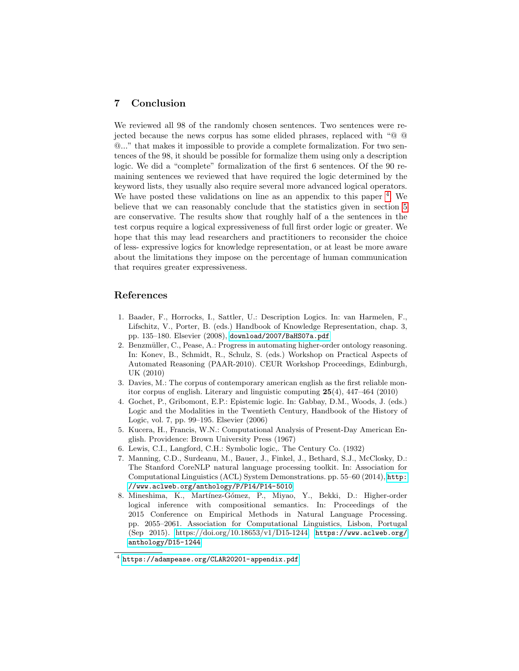## 7 Conclusion

We reviewed all 98 of the randomly chosen sentences. Two sentences were rejected because the news corpus has some elided phrases, replaced with "@ @ @..." that makes it impossible to provide a complete formalization. For two sentences of the 98, it should be possible for formalize them using only a description logic. We did a "complete" formalization of the first 6 sentences. Of the 90 remaining sentences we reviewed that have required the logic determined by the keyword lists, they usually also require several more advanced logical operators. We have posted these validations on line as an appendix to this paper <sup>[4](#page-7-8)</sup>. We believe that we can reasonably conclude that the statistics given in section [5](#page-2-1) are conservative. The results show that roughly half of a the sentences in the test corpus require a logical expressiveness of full first order logic or greater. We hope that this may lead researchers and practitioners to reconsider the choice of less- expressive logics for knowledge representation, or at least be more aware about the limitations they impose on the percentage of human communication that requires greater expressiveness.

#### References

- <span id="page-7-2"></span>1. Baader, F., Horrocks, I., Sattler, U.: Description Logics. In: van Harmelen, F., Lifschitz, V., Porter, B. (eds.) Handbook of Knowledge Representation, chap. 3, pp. 135–180. Elsevier (2008), <download/2007/BaHS07a.pdf>
- <span id="page-7-4"></span>2. Benzmüller, C., Pease, A.: Progress in automating higher-order ontology reasoning. In: Konev, B., Schmidt, R., Schulz, S. (eds.) Workshop on Practical Aspects of Automated Reasoning (PAAR-2010). CEUR Workshop Proceedings, Edinburgh, UK (2010)
- <span id="page-7-7"></span>3. Davies, M.: The corpus of contemporary american english as the first reliable monitor corpus of english. Literary and linguistic computing 25(4), 447–464 (2010)
- <span id="page-7-0"></span>4. Gochet, P., Gribomont, E.P.: Epistemic logic. In: Gabbay, D.M., Woods, J. (eds.) Logic and the Modalities in the Twentieth Century, Handbook of the History of Logic, vol. 7, pp. 99–195. Elsevier (2006)
- <span id="page-7-6"></span>5. Kucera, H., Francis, W.N.: Computational Analysis of Present-Day American English. Providence: Brown University Press (1967)
- <span id="page-7-3"></span>6. Lewis, C.I., Langford, C.H.: Symbolic logic,. The Century Co. (1932)
- <span id="page-7-5"></span>7. Manning, C.D., Surdeanu, M., Bauer, J., Finkel, J., Bethard, S.J., McClosky, D.: The Stanford CoreNLP natural language processing toolkit. In: Association for Computational Linguistics (ACL) System Demonstrations. pp. 55–60 (2014), [http:](http://www.aclweb.org/anthology/P/P14/P14-5010) [//www.aclweb.org/anthology/P/P14/P14-5010](http://www.aclweb.org/anthology/P/P14/P14-5010)
- <span id="page-7-1"></span>8. Mineshima, K., Martínez-Gómez, P., Miyao, Y., Bekki, D.: Higher-order logical inference with compositional semantics. In: Proceedings of the 2015 Conference on Empirical Methods in Natural Language Processing. pp. 2055–2061. Association for Computational Linguistics, Lisbon, Portugal (Sep 2015). [https://doi.org/10.18653/v1/D15-1244,](https://doi.org/10.18653/v1/D15-1244) [https://www.aclweb.org/](https://www.aclweb.org/anthology/D15-1244) [anthology/D15-1244](https://www.aclweb.org/anthology/D15-1244)

<span id="page-7-8"></span><sup>4</sup> <https://adampease.org/CLAR20201-appendix.pdf>